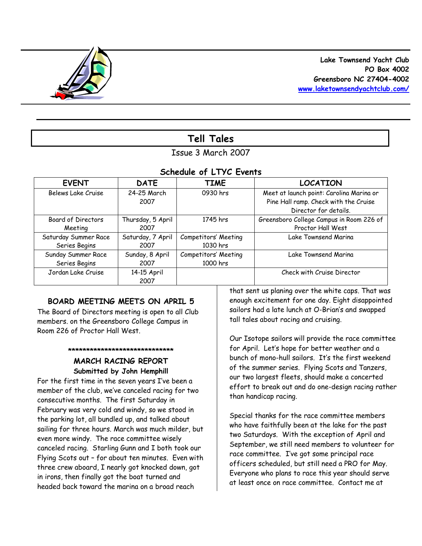

# **Tell Tales**

# Issue 3 March 2007

### *Schedule of LTYC Events*

| <b>EVENT</b>         | <b>DATE</b>         | <b>TIME</b>          | <b>LOCATION</b>                                                                                            |
|----------------------|---------------------|----------------------|------------------------------------------------------------------------------------------------------------|
| Belews Lake Cruise   | 24-25 March<br>2007 | 0930 hrs             | Meet at launch point: Carolina Marina or<br>Pine Hall ramp. Check with the Cruise<br>Director for details. |
| Board of Directors   | Thursday, 5 April   | 1745 hrs             | Greensboro College Campus in Room 226 of                                                                   |
| Meeting              | 2007                |                      | Proctor Hall West                                                                                          |
| Saturday Summer Race | Saturday, 7 April   | Competitors' Meeting | Lake Townsend Marina                                                                                       |
| Series Begins        | 2007                | 1030 hrs             |                                                                                                            |
| Sunday Summer Race   | Sunday, 8 April     | Competitors' Meeting | Lake Townsend Marina                                                                                       |
| Series Begins        | 2007                | 1000 hrs             |                                                                                                            |
| Jordan Lake Cruise   | 14-15 April<br>2007 |                      | Check with Cruise Director                                                                                 |

# **BOARD MEETING MEETS ON APRIL 5**

The Board of Directors meeting is open to all Club members. on the Greensboro College Campus in Room 226 of Proctor Hall West.

#### **\*\*\*\*\*\*\*\*\*\*\*\*\*\*\*\*\*\*\*\*\*\*\*\*\*\*\*\*\***

### **MARCH RACING REPORT Submitted by John Hemphill**

For the first time in the seven years I've been a member of the club, we've canceled racing for two consecutive months. The first Saturday in February was very cold and windy, so we stood in the parking lot, all bundled up, and talked about sailing for three hours. March was much milder, but even more windy. The race committee wisely canceled racing. Starling Gunn and I both took our Flying Scots out – for about ten minutes. Even with three crew aboard, I nearly got knocked down, got in irons, then finally got the boat turned and headed back toward the marina on a broad reach

that sent us planing over the white caps. That was enough excitement for one day. Eight disappointed sailors had a late lunch at O-Brian's and swapped tall tales about racing and cruising.

Our Isotope sailors will provide the race committee for April. Let's hope for better weather and a bunch of mono-hull sailors. It's the first weekend of the summer series. Flying Scots and Tanzers, our two largest fleets, should make a concerted effort to break out and do one-design racing rather than handicap racing.

Special thanks for the race committee members who have faithfully been at the lake for the past two Saturdays. With the exception of April and September, we still need members to volunteer for race committee. I've got some principal race officers scheduled, but still need a PRO for May. Everyone who plans to race this year should serve at least once on race committee. Contact me at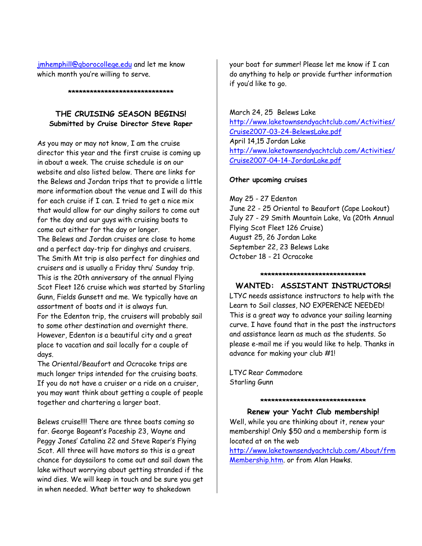jmhemphill@gborocollege.edu and let me know which month you're willing to serve.

**\*\*\*\*\*\*\*\*\*\*\*\*\*\*\*\*\*\*\*\*\*\*\*\*\*\*\*\*\***

### **THE CRUISING SEASON BEGINS! Submitted by Cruise Director Steve Raper**

As you may or may not know, I am the cruise director this year and the first cruise is coming up in about a week. The cruise schedule is on our website and also listed below. There are links for the Belews and Jordan trips that to provide a little more information about the venue and I will do this for each cruise if I can. I tried to get a nice mix that would allow for our dinghy sailors to come out for the day and our guys with cruising boats to come out either for the day or longer. The Belews and Jordan cruises are close to home and a perfect day-trip for dinghys and cruisers. The Smith Mt trip is also perfect for dinghies and cruisers and is usually a Friday thru' Sunday trip. This is the 20th anniversary of the annual Flying Scot Fleet 126 cruise which was started by Starling Gunn, Fields Gunsett and me. We typically have an assortment of boats and it is always fun. For the Edenton trip, the cruisers will probably sail to some other destination and overnight there. However, Edenton is a beautiful city and a great place to vacation and sail locally for a couple of days.

The Oriental/Beaufort and Ocracoke trips are much longer trips intended for the cruising boats. If you do not have a cruiser or a ride on a cruiser, you may want think about getting a couple of people together and chartering a larger boat.

Belews cruise!!!! There are three boats coming so far. George Bageant's Paceship 23, Wayne and Peggy Jones' Catalina 22 and Steve Raper's Flying Scot. All three will have motors so this is a great chance for daysailors to come out and sail down the lake without worrying about getting stranded if the wind dies. We will keep in touch and be sure you get in when needed. What better way to shakedown

your boat for summer! Please let me know if I can do anything to help or provide further information if you'd like to go.

## March 24, 25 Belews Lake

http://www.laketownsendyachtclub.com/Activities/ Cruise2007-03-24-BelewsLake.pdf April 14,15 Jordan Lake http://www.laketownsendyachtclub.com/Activities/ Cruise2007-04-14-JordanLake.pdf

### **Other upcoming cruises**

May 25 - 27 Edenton June 22 - 25 Oriental to Beaufort (Cape Lookout) July 27 - 29 Smith Mountain Lake, Va (20th Annual Flying Scot Fleet 126 Cruise) August 25, 26 Jordan Lake September 22, 23 Belews Lake October 18 - 21 Ocracoke

**\*\*\*\*\*\*\*\*\*\*\*\*\*\*\*\*\*\*\*\*\*\*\*\*\*\*\*\*\***

### **WANTED: ASSISTANT INSTRUCTORS!**

LTYC needs assistance instructors to help with the Learn to Sail classes, NO EXPERENCE NEEDED! This is a great way to advance your sailing learning curve. I have found that in the past the instructors and assistance learn as much as the students. So please e-mail me if you would like to help. Thanks in advance for making your club #1!

LTYC Rear Commodore Starling Gunn

**\*\*\*\*\*\*\*\*\*\*\*\*\*\*\*\*\*\*\*\*\*\*\*\*\*\*\*\*\* Renew your Yacht Club membership!** Well, while you are thinking about it, renew your membership! Only \$50 and a membership form is located at on the web

http://www.laketownsendyachtclub.com/About/frm Membership.htm. or from Alan Hawks.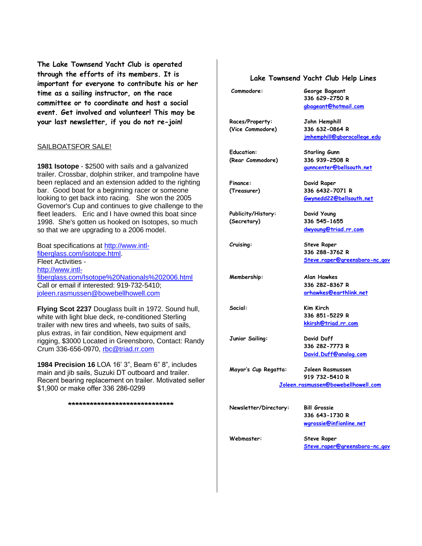**The Lake Townsend Yacht Club is operated through the efforts of its members. It is important for everyone to contribute his or her time as a sailing instructor, on the race committee or to coordinate and host a social event. Get involved and volunteer! This may be your last newsletter, if you do not re-join!**

#### SAILBOATSFOR SALE!

**1981 Isotope** - \$2500 with sails and a galvanized trailer. Crossbar, dolphin striker, and trampoline have been replaced and an extension added to the righting bar. Good boat for a beginning racer or someone looking to get back into racing. She won the 2005 Governor's Cup and continues to give challenge to the fleet leaders. Eric and I have owned this boat since 1998. She's gotten us hooked on Isotopes, so much so that we are upgrading to a 2006 model.

Boat specifications at http://www.intlfiberglass.com/isotope.html. Fleet Activities http://www.intlfiberglass.com/Isotope%20Nationals%202006.html Call or email if interested: 919-732-5410; joleen.rasmussen@bowebellhowell.com

**Flying Scot 2237** Douglass built in 1972. Sound hull, white with light blue deck, re-conditioned Sterling trailer with new tires and wheels, two suits of sails, plus extras, in fair condition, New equipment and rigging, \$3000 Located in Greensboro, Contact: Randy Crum 336-656-0970, rbc@triad.rr.com

**1984 Precision 16** LOA 16' 3", Beam 6" 8", includes main and jib sails, Suzuki DT outboard and trailer. Recent bearing replacement on trailer. Motivated seller \$1,900 or make offer 336 286-0299

**\*\*\*\*\*\*\*\*\*\*\*\*\*\*\*\*\*\*\*\*\*\*\*\*\*\*\*\*\***

#### **Lake Townsend Yacht Club Help Lines**

| Commodore:                          | George Bageant<br>336 629-2750 R<br>gbageant@hotmail.com |  |  |  |
|-------------------------------------|----------------------------------------------------------|--|--|--|
|                                     |                                                          |  |  |  |
| Races/Property:                     | John Hemphill                                            |  |  |  |
| (Vice Commodore)                    | 336 632-0864 R                                           |  |  |  |
|                                     | imhemphill@gborocollege.edu                              |  |  |  |
| <b>Education:</b>                   | Starling Gunn                                            |  |  |  |
| (Rear Commodore)                    | 336 939-2508 R                                           |  |  |  |
|                                     | gunncenter@bellsouth.net                                 |  |  |  |
| <b>Finance:</b>                     | David Raper                                              |  |  |  |
| (Treasurer)                         | 336 6432-7071 R                                          |  |  |  |
|                                     | Gwynedd22@bellsouth.net                                  |  |  |  |
| Publicity/History:                  | David Young                                              |  |  |  |
| (Secretary)                         | 336 545-1655                                             |  |  |  |
|                                     | dwyoung@triad.rr.com                                     |  |  |  |
| Cruising:                           | <b>Steve Raper</b>                                       |  |  |  |
|                                     | 336 288-3762 R                                           |  |  |  |
|                                     | <u>Steve.raper@greensboro-nc.gov</u>                     |  |  |  |
| Membership:                         | Alan Hawkes                                              |  |  |  |
|                                     | 336 282-8367 R                                           |  |  |  |
|                                     | arhawkes@earthlink.net                                   |  |  |  |
| Social:                             | Kim Kirch                                                |  |  |  |
|                                     | 336 851-5229 R                                           |  |  |  |
|                                     | kkirsh@triad.rr.com                                      |  |  |  |
| Junior Sailing:                     | David Duff                                               |  |  |  |
|                                     | 336 282-7773 R                                           |  |  |  |
|                                     | David.Duff@analog.com                                    |  |  |  |
| Mayor's Cup Regatta:                | Joleen Rasmussen                                         |  |  |  |
|                                     | 919 732-5410 R                                           |  |  |  |
| Joleen.rasmussen@bowebellhowell.com |                                                          |  |  |  |
|                                     |                                                          |  |  |  |
| Newsletter/Directory:               | <b>Bill Grossie</b>                                      |  |  |  |
|                                     | 336 643-1730 R                                           |  |  |  |
|                                     | wgrossie@infionline.net                                  |  |  |  |
| Webmaster:                          | <b>Steve Raper</b>                                       |  |  |  |
|                                     | Steve.raper@greensboro-nc.gov                            |  |  |  |
|                                     |                                                          |  |  |  |